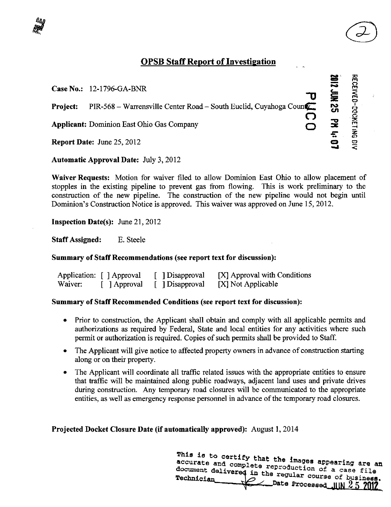# OPSB Staff Report of Investigation

 $\bigodot$ 

| <b>Case No.:</b> 12-1796-GA-BNR                                                       | 壹   | 쥬<br><u>អា</u><br>$\vec{E}$ |
|---------------------------------------------------------------------------------------|-----|-----------------------------|
| PIR-568 – Warrensville Center Road – South Euclid, Cuyahoga County<br><b>Project:</b> | ည္တ |                             |
| <b>Applicant:</b> Dominion East Ohio Gas Company                                      |     | 웆<br>$\bar{z}$              |
| <b>Report Date: June 25, 2012</b>                                                     |     |                             |

**Automatic Approval Date: July 3, 2012** Automatic Approval Date: July 3, 2012

Waiver Requests: Motion for waiver filed to allow Dominion East Ohio to allow placement of stopples in the existing pipeline to prevent gas from flowing. This is work preliminary to the construction of the new pipeline. The construction of the new pipeline would not begin until Dominion's Construction Notice is approved. This waiver was approved on June 15, 2012.

**Inspection Date(s):** June 21, 2012

Staff Assigned: E. Steele

## Summary of Staff Recommendations (see report text for discussion):

|         | Application: [ ] Approval | [ Disapproval   | [X] Approval with Conditions |
|---------|---------------------------|-----------------|------------------------------|
| Waiver: | [ ] Approval              | [ ] Disapproval | [X] Not Applicable           |

## Summary of Staff Recommended Conditions (see report text for discussion):

- Prior to construction, the Applicant shall obtain and comply with all applicable permits and authorizations as required by Federal, State and local entities for any activities where such permit or authorization is required. Copies of such permits shall be provided to Staff
- The Applicant will give notice to affected property owners in advance of construction starting along or on their property.
- The Applicant will coordinate all traffic related issues with the appropriate entities to ensure that traffic will be maintained along public roadways, adjacent land uses and private drives during construction. Any temporary road closures will be communicated to the appropriate entities, as well as emergency response personnel in advance of the temporary road closures. •

# Projected Docket Closure Date (if automatically approved): August 1, 2014

This is to certify that the im accurate and complete reproduction as a pearing are an document delivered in the requier cannot a case file Technician  $\overline{\mathscr{S}}$  s S  $\overline{\mathscr{S}}$  s S  $\overline{\mathscr{S}}$  s S  $\overline{\mathscr{S}}$  s S  $\overline{\mathscr{S}}$  s S  $\overline{\mathscr{S}}$  s  $\overline{\mathscr{S}}$  s  $\overline{\mathscr{S}}$  s  $\overline{\mathscr{S}}$  s  $\overline{\mathscr{S}}$  s  $\overline{\mathscr{S}}$  s  $\overline{\mathscr{S}}$  s  $\overline{\mathscr{S}}$  s  $\overline{\mathscr{S}}$  s  $\overline$  $\_$  Date Processed .IIIN  $\rm 2.5$  2012